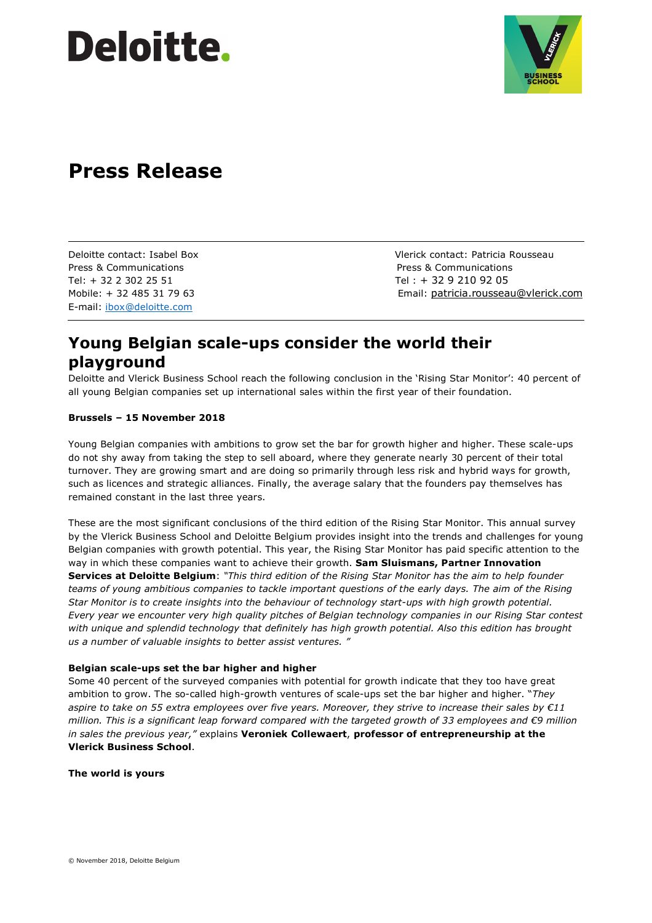# **Deloitte.**



## **Press Release**

Press & Communications Press & Communications Tel: + 32 2 302 25 51 Tel : + 32 9 210 92 05 E-mail: ibox@deloitte.com

Deloitte contact: Isabel Box Vlerick contact: Patricia Rousseau Mobile: + 32 485 31 79 63 Email: patricia.rousseau@vlerick.com

## **Young Belgian scale-ups consider the world their playground**

Deloitte and Vlerick Business School reach the following conclusion in the 'Rising Star Monitor': 40 percent of all young Belgian companies set up international sales within the first year of their foundation.

## **Brussels – 15 November 2018**

Young Belgian companies with ambitions to grow set the bar for growth higher and higher. These scale-ups do not shy away from taking the step to sell aboard, where they generate nearly 30 percent of their total turnover. They are growing smart and are doing so primarily through less risk and hybrid ways for growth, such as licences and strategic alliances. Finally, the average salary that the founders pay themselves has remained constant in the last three years.

These are the most significant conclusions of the third edition of the Rising Star Monitor. This annual survey by the Vlerick Business School and Deloitte Belgium provides insight into the trends and challenges for young Belgian companies with growth potential. This year, the Rising Star Monitor has paid specific attention to the way in which these companies want to achieve their growth. **Sam Sluismans, Partner Innovation Services at Deloitte Belgium**: *"This third edition of the Rising Star Monitor has the aim to help founder teams of young ambitious companies to tackle important questions of the early days. The aim of the Rising Star Monitor is to create insights into the behaviour of technology start-ups with high growth potential. Every year we encounter very high quality pitches of Belgian technology companies in our Rising Star contest*  with unique and splendid technology that definitely has high growth potential. Also this edition has brought *us a number of valuable insights to better assist ventures. "* 

## **Belgian scale-ups set the bar higher and higher**

Some 40 percent of the surveyed companies with potential for growth indicate that they too have great ambition to grow. The so-called high-growth ventures of scale-ups set the bar higher and higher. "*They aspire to take on 55 extra employees over five years. Moreover, they strive to increase their sales by €11 million. This is a significant leap forward compared with the targeted growth of 33 employees and €9 million in sales the previous year,"* explains **Veroniek Collewaert**, **professor of entrepreneurship at the Vlerick Business School**.

## **The world is yours**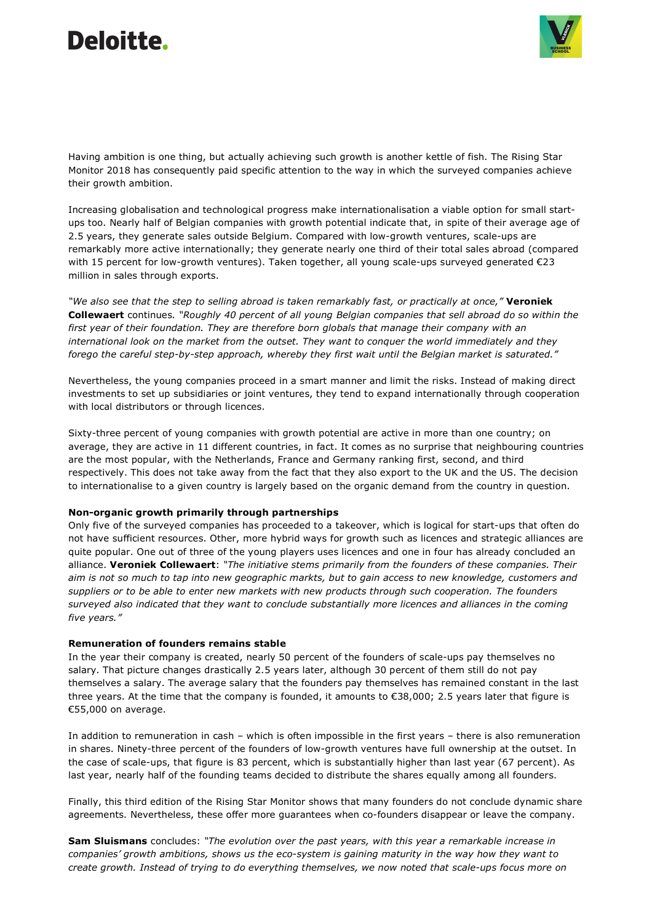## Deloitte. Ī



Having ambition is one thing, but actually achieving such growth is another kettle of fish. The Rising Star Monitor 2018 has consequently paid specific attention to the way in which the surveyed companies achieve their growth ambition.

Increasing globalisation and technological progress make internationalisation a viable option for small startups too. Nearly half of Belgian companies with growth potential indicate that, in spite of their average age of 2.5 years, they generate sales outside Belgium. Compared with low-growth ventures, scale-ups are remarkably more active internationally; they generate nearly one third of their total sales abroad (compared with 15 percent for low-growth ventures). Taken together, all young scale-ups surveyed generated €23 million in sales through exports.

*"We also see that the step to selling abroad is taken remarkably fast, or practically at once,"* **Veroniek Collewaert** continues*. "Roughly 40 percent of all young Belgian companies that sell abroad do so within the first year of their foundation. They are therefore born globals that manage their company with an international look on the market from the outset. They want to conquer the world immediately and they forego the careful step-by-step approach, whereby they first wait until the Belgian market is saturated."* 

Nevertheless, the young companies proceed in a smart manner and limit the risks. Instead of making direct investments to set up subsidiaries or joint ventures, they tend to expand internationally through cooperation with local distributors or through licences.

Sixty-three percent of young companies with growth potential are active in more than one country; on average, they are active in 11 different countries, in fact. It comes as no surprise that neighbouring countries are the most popular, with the Netherlands, France and Germany ranking first, second, and third respectively. This does not take away from the fact that they also export to the UK and the US. The decision to internationalise to a given country is largely based on the organic demand from the country in question.

## **Non-organic growth primarily through partnerships**

Only five of the surveyed companies has proceeded to a takeover, which is logical for start-ups that often do not have sufficient resources. Other, more hybrid ways for growth such as licences and strategic alliances are quite popular. One out of three of the young players uses licences and one in four has already concluded an alliance. **Veroniek Collewaert**: *"The initiative stems primarily from the founders of these companies. Their aim is not so much to tap into new geographic markts, but to gain access to new knowledge, customers and suppliers or to be able to enter new markets with new products through such cooperation. The founders surveyed also indicated that they want to conclude substantially more licences and alliances in the coming five years."* 

#### **Remuneration of founders remains stable**

In the year their company is created, nearly 50 percent of the founders of scale-ups pay themselves no salary. That picture changes drastically 2.5 years later, although 30 percent of them still do not pay themselves a salary. The average salary that the founders pay themselves has remained constant in the last three years. At the time that the company is founded, it amounts to €38,000; 2.5 years later that figure is €55,000 on average.

In addition to remuneration in cash – which is often impossible in the first years – there is also remuneration in shares. Ninety-three percent of the founders of low-growth ventures have full ownership at the outset. In the case of scale-ups, that figure is 83 percent, which is substantially higher than last year (67 percent). As last year, nearly half of the founding teams decided to distribute the shares equally among all founders.

Finally, this third edition of the Rising Star Monitor shows that many founders do not conclude dynamic share agreements. Nevertheless, these offer more guarantees when co-founders disappear or leave the company.

**Sam Sluismans** concludes: *"The evolution over the past years, with this year a remarkable increase in companies' growth ambitions, shows us the eco-system is gaining maturity in the way how they want to create growth. Instead of trying to do everything themselves, we now noted that scale-ups focus more on*